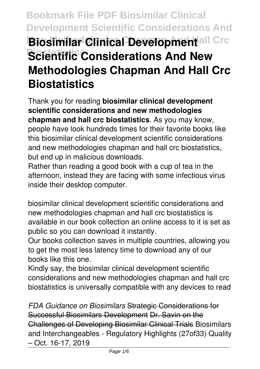# **Bookmark File PDF Biosimilar Clinical Development Scientific Considerations And Biosimilar Clinica Development**all Crc **Scientific Considerations And New Methodologies Chapman And Hall Crc Biostatistics**

Thank you for reading **biosimilar clinical development scientific considerations and new methodologies chapman and hall crc biostatistics**. As you may know, people have look hundreds times for their favorite books like this biosimilar clinical development scientific considerations and new methodologies chapman and hall crc biostatistics, but end up in malicious downloads.

Rather than reading a good book with a cup of tea in the afternoon, instead they are facing with some infectious virus inside their desktop computer.

biosimilar clinical development scientific considerations and new methodologies chapman and hall crc biostatistics is available in our book collection an online access to it is set as public so you can download it instantly.

Our books collection saves in multiple countries, allowing you to get the most less latency time to download any of our books like this one.

Kindly say, the biosimilar clinical development scientific considerations and new methodologies chapman and hall crc biostatistics is universally compatible with any devices to read

*FDA Guidance on Biosimilars* Strategic Considerations for Successful Biosimilars Development Dr. Savin on the Challenges of Developing Biosimilar Clinical Trials Biosimilars and Interchangeables - Regulatory Highlights (27of33) Quality – Oct. 16-17, 2019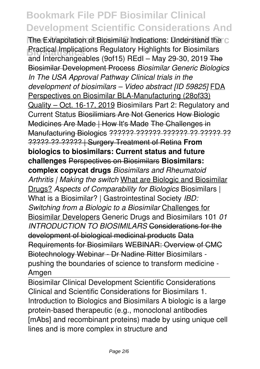The Extrapolation of Biosimilar Indications: Understand the C **Bractical Implications Regulatory Highlights for Biosimilars** and Interchangeables (9of15) REdI – May 29-30, 2019 The Biosimilar Development Process *Biosimilar Generic Biologics In The USA Approval Pathway Clinical trials in the development of biosimilars – Video abstract [ID 59825]* FDA Perspectives on Biosimilar BLA-Manufacturing (28of33) Quality – Oct. 16-17, 2019 Biosimilars Part 2: Regulatory and Current Status Biosilimiars Are Not Generics How Biologic Medicines Are Made | How It's Made The Challenges in Manufacturing Biologics ?????? ?????? ?????? ?? ?????? ?? ????? ?? ????? | Surgery Treatment of Retina **From biologics to biosimilars: Current status and future challenges** Perspectives on Biosimilars **Biosimilars: complex copycat drugs** *Biosimilars and Rheumatoid Arthritis | Making the switch* What are Biologic and Biosimilar Drugs? *Aspects of Comparability for Biologics* Biosimilars | What is a Biosimilar? | Gastrointestinal Society *IBD: Switching from a Biologic to a Biosimilar* Challenges for Biosimilar Developers Generic Drugs and Biosimilars 101 *01 INTRODUCTION TO BIOSIMILARS* Considerations for the development of biological medicinal products Data Requirements for Biosimilars WEBINAR: Overview of CMC Biotechnology Webinar - Dr Nadine Ritter Biosimilars pushing the boundaries of science to transform medicine - Amgen

Biosimilar Clinical Development Scientific Considerations Clinical and Scientific Considerations for Biosimilars 1. Introduction to Biologics and Biosimilars A biologic is a large protein-based therapeutic (e.g., monoclonal antibodies [mAbs] and recombinant proteins) made by using unique cell lines and is more complex in structure and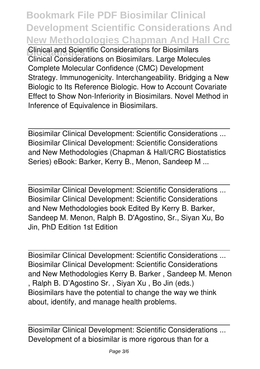**Bookmark File PDF Biosimilar Clinical Development Scientific Considerations And New Methodologies Chapman And Hall Crc Clinical and Scientific Considerations for Biosimilars** Clinical Considerations on Biosimilars. Large Molecules Complete Molecular Confidence (CMC) Development Strategy. Immunogenicity. Interchangeability. Bridging a New Biologic to Its Reference Biologic. How to Account Covariate Effect to Show Non-Inferiority in Biosimilars. Novel Method in Inference of Equivalence in Biosimilars.

Biosimilar Clinical Development: Scientific Considerations ... Biosimilar Clinical Development: Scientific Considerations and New Methodologies (Chapman & Hall/CRC Biostatistics Series) eBook: Barker, Kerry B., Menon, Sandeep M ...

Biosimilar Clinical Development: Scientific Considerations ... Biosimilar Clinical Development: Scientific Considerations and New Methodologies book Edited By Kerry B. Barker, Sandeep M. Menon, Ralph B. D'Agostino, Sr., Siyan Xu, Bo Jin, PhD Edition 1st Edition

Biosimilar Clinical Development: Scientific Considerations ... Biosimilar Clinical Development: Scientific Considerations and New Methodologies Kerry B. Barker , Sandeep M. Menon , Ralph B. D'Agostino Sr. , Siyan Xu , Bo Jin (eds.) Biosimilars have the potential to change the way we think about, identify, and manage health problems.

Biosimilar Clinical Development: Scientific Considerations ... Development of a biosimilar is more rigorous than for a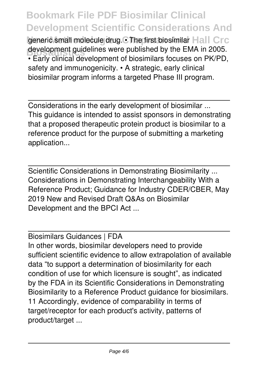generic small molecule drug. • The first biosimilar Hall Crc development guidelines were published by the EMA in 2005. • Early clinical development of biosimilars focuses on PK/PD, safety and immunogenicity. • A strategic, early clinical biosimilar program informs a targeted Phase III program.

Considerations in the early development of biosimilar ... This guidance is intended to assist sponsors in demonstrating that a proposed therapeutic protein product is biosimilar to a reference product for the purpose of submitting a marketing application...

Scientific Considerations in Demonstrating Biosimilarity ... Considerations in Demonstrating Interchangeability With a Reference Product; Guidance for Industry CDER/CBER, May 2019 New and Revised Draft Q&As on Biosimilar Development and the BPCI Act ...

Biosimilars Guidances | FDA In other words, biosimilar developers need to provide sufficient scientific evidence to allow extrapolation of available data "to support a determination of biosimilarity for each condition of use for which licensure is sought", as indicated by the FDA in its Scientific Considerations in Demonstrating Biosimilarity to a Reference Product guidance for biosimilars. 11 Accordingly, evidence of comparability in terms of target/receptor for each product's activity, patterns of product/target ...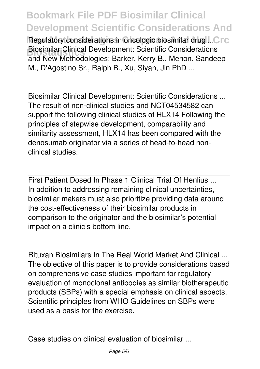Regulatory considerations in oncologic biosimilar drug ... Crc **Biosimilar Clinical Development: Scientific Considerations** and New Methodologies: Barker, Kerry B., Menon, Sandeep M., D'Agostino Sr., Ralph B., Xu, Siyan, Jin PhD ...

Biosimilar Clinical Development: Scientific Considerations ... The result of non-clinical studies and NCT04534582 can support the following clinical studies of HLX14 Following the principles of stepwise development, comparability and similarity assessment, HLX14 has been compared with the denosumab originator via a series of head-to-head nonclinical studies.

First Patient Dosed In Phase 1 Clinical Trial Of Henlius ... In addition to addressing remaining clinical uncertainties, biosimilar makers must also prioritize providing data around the cost-effectiveness of their biosimilar products in comparison to the originator and the biosimilar's potential impact on a clinic's bottom line.

Rituxan Biosimilars In The Real World Market And Clinical ... The objective of this paper is to provide considerations based on comprehensive case studies important for regulatory evaluation of monoclonal antibodies as similar biotherapeutic products (SBPs) with a special emphasis on clinical aspects. Scientific principles from WHO Guidelines on SBPs were used as a basis for the exercise.